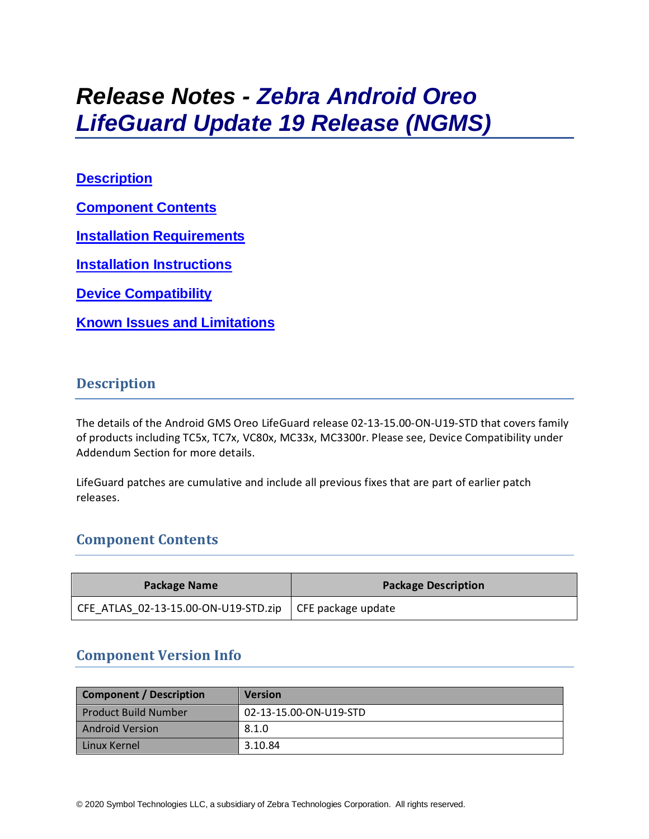# *Release Notes - Zebra Android Oreo LifeGuard Update 19 Release (NGMS)*

# **[Description](#page-0-0)**

**[Component Contents](#page-0-1)**

**[Installation Requirements](#page-9-0)**

**[Installation Instructions](#page-9-1)**

**[Device Compatibility](#page-11-0)**

**Known [Issues and Limitations](#page-11-1)**

# <span id="page-0-0"></span>**Description**

The details of the Android GMS Oreo LifeGuard release 02-13-15.00-ON-U19-STD that covers family of products including TC5x, TC7x, VC80x, MC33x, MC3300r. Please see, Device Compatibility under Addendum Section for more details.

LifeGuard patches are cumulative and include all previous fixes that are part of earlier patch releases.

# <span id="page-0-1"></span>**Component Contents**

| Package Name                                                    | <b>Package Description</b> |  |
|-----------------------------------------------------------------|----------------------------|--|
| CFE ATLAS 02-13-15.00-ON-U19-STD.zip $\vert$ CFE package update |                            |  |

# **Component Version Info**

| <b>Component / Description</b> | <b>Version</b>         |
|--------------------------------|------------------------|
| <b>Product Build Number</b>    | 02-13-15.00-ON-U19-STD |
| <b>Android Version</b>         | 8.1.0                  |
| Linux Kernel                   | 3.10.84                |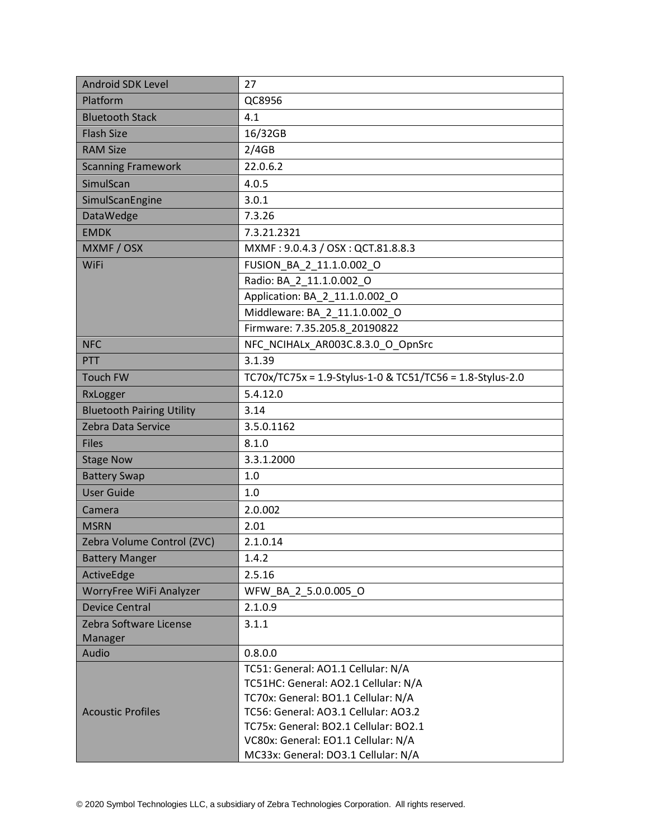| Android SDK Level                | 27                                                                                                                  |  |
|----------------------------------|---------------------------------------------------------------------------------------------------------------------|--|
| Platform                         | QC8956                                                                                                              |  |
| <b>Bluetooth Stack</b>           | 4.1                                                                                                                 |  |
| <b>Flash Size</b>                | 16/32GB                                                                                                             |  |
| <b>RAM Size</b>                  | 2/4GB                                                                                                               |  |
| <b>Scanning Framework</b>        | 22.0.6.2                                                                                                            |  |
| SimulScan                        | 4.0.5                                                                                                               |  |
| SimulScanEngine                  | 3.0.1                                                                                                               |  |
| <b>DataWedge</b>                 | 7.3.26                                                                                                              |  |
| <b>EMDK</b>                      | 7.3.21.2321                                                                                                         |  |
| MXMF / OSX                       | MXMF: 9.0.4.3 / OSX: QCT.81.8.8.3                                                                                   |  |
| WiFi                             | FUSION_BA_2_11.1.0.002_O                                                                                            |  |
|                                  | Radio: BA_2_11.1.0.002_O                                                                                            |  |
|                                  | Application: BA 2 11.1.0.002 O                                                                                      |  |
|                                  | Middleware: BA 2 11.1.0.002 O                                                                                       |  |
|                                  | Firmware: 7.35.205.8 20190822                                                                                       |  |
| <b>NFC</b>                       | NFC_NCIHALx_AR003C.8.3.0_O_OpnSrc                                                                                   |  |
| PTT                              | 3.1.39                                                                                                              |  |
| <b>Touch FW</b>                  | TC70x/TC75x = 1.9-Stylus-1-0 & TC51/TC56 = 1.8-Stylus-2.0                                                           |  |
| RxLogger                         | 5.4.12.0                                                                                                            |  |
| <b>Bluetooth Pairing Utility</b> | 3.14                                                                                                                |  |
| Zebra Data Service               | 3.5.0.1162                                                                                                          |  |
| <b>Files</b>                     | 8.1.0                                                                                                               |  |
| <b>Stage Now</b>                 | 3.3.1.2000                                                                                                          |  |
| <b>Battery Swap</b>              | 1.0                                                                                                                 |  |
| <b>User Guide</b>                | 1.0                                                                                                                 |  |
| Camera                           | 2.0.002                                                                                                             |  |
| <b>MSRN</b>                      | 2.01                                                                                                                |  |
| Zebra Volume Control (ZVC)       | 2.1.0.14                                                                                                            |  |
| <b>Battery Manger</b>            | 1.4.2                                                                                                               |  |
| ActiveEdge                       | 2.5.16                                                                                                              |  |
| WorryFree WiFi Analyzer          | WFW BA 2 5.0.0.005 O                                                                                                |  |
| <b>Device Central</b>            | 2.1.0.9                                                                                                             |  |
| Zebra Software License           | 3.1.1                                                                                                               |  |
| Manager                          |                                                                                                                     |  |
| Audio                            | 0.8.0.0                                                                                                             |  |
|                                  | TC51: General: AO1.1 Cellular: N/A<br>TC51HC: General: AO2.1 Cellular: N/A                                          |  |
|                                  | TC70x: General: BO1.1 Cellular: N/A                                                                                 |  |
| <b>Acoustic Profiles</b>         | TC56: General: AO3.1 Cellular: AO3.2                                                                                |  |
|                                  |                                                                                                                     |  |
|                                  |                                                                                                                     |  |
|                                  | TC75x: General: BO2.1 Cellular: BO2.1<br>VC80x: General: EO1.1 Cellular: N/A<br>MC33x: General: DO3.1 Cellular: N/A |  |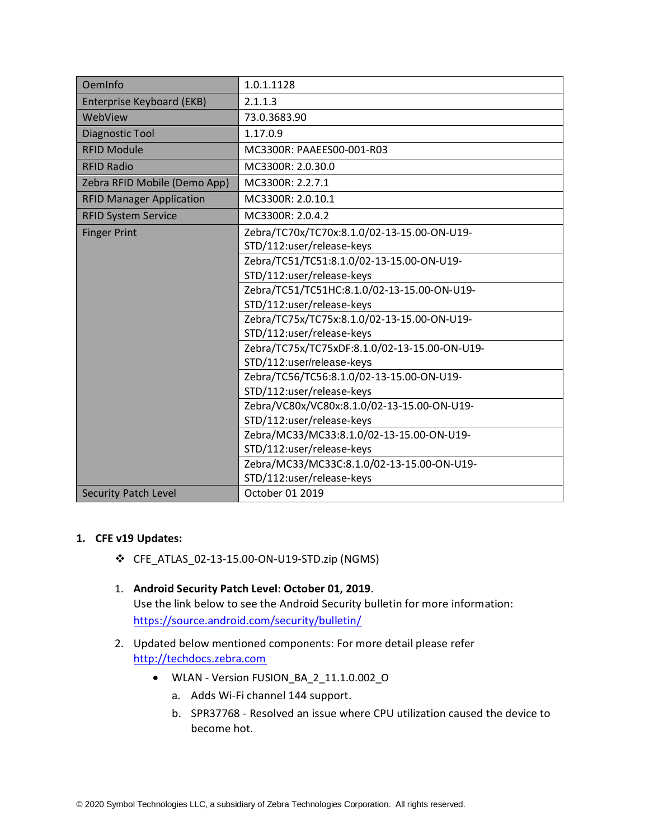| OemInfo                         | 1.0.1.1128                                    |
|---------------------------------|-----------------------------------------------|
| Enterprise Keyboard (EKB)       | 2.1.1.3                                       |
| WebView                         | 73.0.3683.90                                  |
| Diagnostic Tool                 | 1.17.0.9                                      |
| <b>RFID Module</b>              | MC3300R: PAAEES00-001-R03                     |
| <b>RFID Radio</b>               | MC3300R: 2.0.30.0                             |
| Zebra RFID Mobile (Demo App)    | MC3300R: 2.2.7.1                              |
| <b>RFID Manager Application</b> | MC3300R: 2.0.10.1                             |
| <b>RFID System Service</b>      | MC3300R: 2.0.4.2                              |
| <b>Finger Print</b>             | Zebra/TC70x/TC70x:8.1.0/02-13-15.00-ON-U19-   |
|                                 | STD/112:user/release-keys                     |
|                                 | Zebra/TC51/TC51:8.1.0/02-13-15.00-ON-U19-     |
|                                 | STD/112:user/release-keys                     |
|                                 | Zebra/TC51/TC51HC:8.1.0/02-13-15.00-ON-U19-   |
|                                 | STD/112:user/release-keys                     |
|                                 | Zebra/TC75x/TC75x:8.1.0/02-13-15.00-ON-U19-   |
|                                 | STD/112:user/release-keys                     |
|                                 | Zebra/TC75x/TC75xDF:8.1.0/02-13-15.00-ON-U19- |
|                                 | STD/112:user/release-keys                     |
|                                 | Zebra/TC56/TC56:8.1.0/02-13-15.00-ON-U19-     |
|                                 | STD/112:user/release-keys                     |
|                                 | Zebra/VC80x/VC80x:8.1.0/02-13-15.00-ON-U19-   |
|                                 | STD/112:user/release-keys                     |
|                                 | Zebra/MC33/MC33:8.1.0/02-13-15.00-ON-U19-     |
|                                 | STD/112:user/release-keys                     |
|                                 | Zebra/MC33/MC33C:8.1.0/02-13-15.00-ON-U19-    |
|                                 | STD/112:user/release-keys                     |
| <b>Security Patch Level</b>     | October 01 2019                               |

#### **1. CFE v19 Updates:**

- ❖ CFE\_ATLAS\_02-13-15.00-ON-U19-STD.zip (NGMS)
- 1. **Android Security Patch Level: October 01, 2019**. Use the link below to see the Android Security bulletin for more information: <https://source.android.com/security/bulletin/>
- 2. Updated below mentioned components: For more detail please refer [http://techdocs.zebra.com](http://techdocs.zebra.com/)
	- WLAN Version FUSION\_BA\_2\_11.1.0.002\_O
		- a. Adds Wi-Fi channel 144 support.
		- b. SPR37768 Resolved an issue where CPU utilization caused the device to become hot.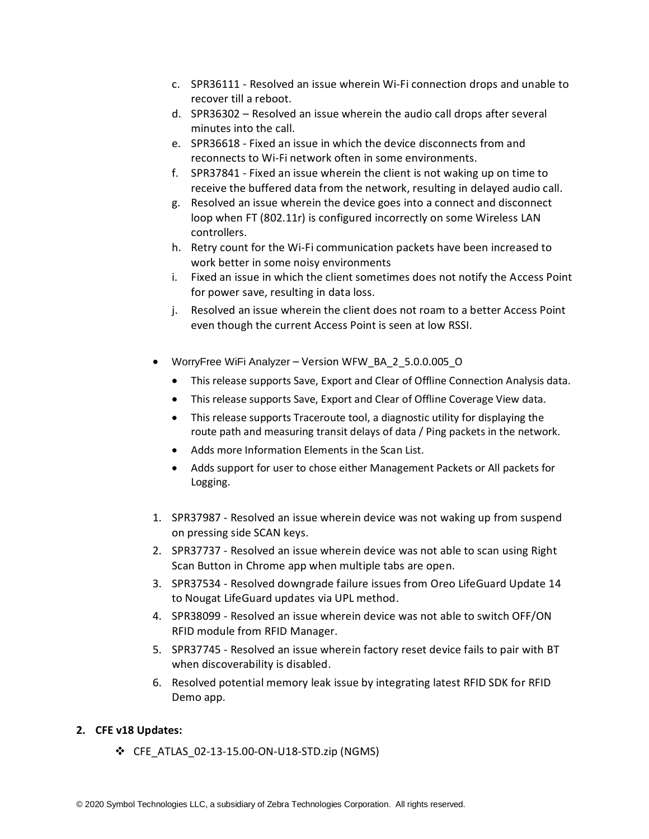- c. SPR36111 Resolved an issue wherein Wi-Fi connection drops and unable to recover till a reboot.
- d. SPR36302 Resolved an issue wherein the audio call drops after several minutes into the call.
- e. SPR36618 Fixed an issue in which the device disconnects from and reconnects to Wi-Fi network often in some environments.
- f. SPR37841 Fixed an issue wherein the client is not waking up on time to receive the buffered data from the network, resulting in delayed audio call.
- g. Resolved an issue wherein the device goes into a connect and disconnect loop when FT (802.11r) is configured incorrectly on some Wireless LAN controllers.
- h. Retry count for the Wi-Fi communication packets have been increased to work better in some noisy environments
- i. Fixed an issue in which the client sometimes does not notify the Access Point for power save, resulting in data loss.
- j. Resolved an issue wherein the client does not roam to a better Access Point even though the current Access Point is seen at low RSSI.
- WorryFree WiFi Analyzer Version WFW\_BA\_2\_5.0.0.005\_O
	- This release supports Save, Export and Clear of Offline Connection Analysis data.
	- This release supports Save, Export and Clear of Offline Coverage View data.
	- This release supports Traceroute tool, a diagnostic utility for displaying the route path and measuring transit delays of data / Ping packets in the network.
	- Adds more Information Elements in the Scan List.
	- Adds support for user to chose either Management Packets or All packets for Logging.
- 1. SPR37987 Resolved an issue wherein device was not waking up from suspend on pressing side SCAN keys.
- 2. SPR37737 Resolved an issue wherein device was not able to scan using Right Scan Button in Chrome app when multiple tabs are open.
- 3. SPR37534 Resolved downgrade failure issues from Oreo LifeGuard Update 14 to Nougat LifeGuard updates via UPL method.
- 4. SPR38099 Resolved an issue wherein device was not able to switch OFF/ON RFID module from RFID Manager.
- 5. SPR37745 Resolved an issue wherein factory reset device fails to pair with BT when discoverability is disabled.
- 6. Resolved potential memory leak issue by integrating latest RFID SDK for RFID Demo app.

#### **2. CFE v18 Updates:**

❖ CFE\_ATLAS\_02-13-15.00-ON-U18-STD.zip (NGMS)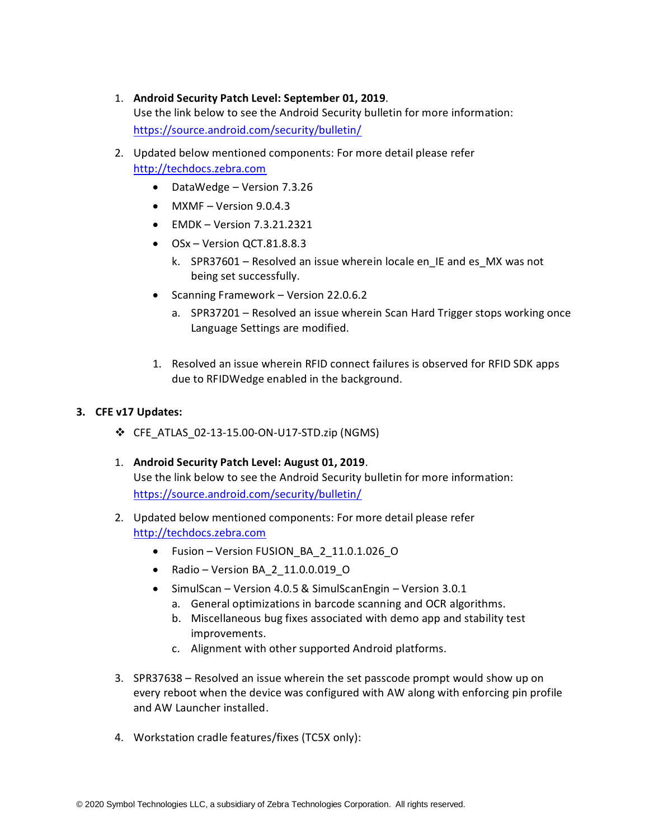1. **Android Security Patch Level: September 01, 2019**.

Use the link below to see the Android Security bulletin for more information: <https://source.android.com/security/bulletin/>

- 2. Updated below mentioned components: For more detail please refer [http://techdocs.zebra.com](http://techdocs.zebra.com/)
	- DataWedge Version 7.3.26
	- $MXMF Version 9.0.4.3$
	- EMDK Version 7.3.21.2321
	- OSx Version OCT.81.8.8.3
		- k. SPR37601 Resolved an issue wherein locale en\_IE and es\_MX was not being set successfully.
	- Scanning Framework Version 22.0.6.2
		- a. SPR37201 Resolved an issue wherein Scan Hard Trigger stops working once Language Settings are modified.
	- 1. Resolved an issue wherein RFID connect failures is observed for RFID SDK apps due to RFIDWedge enabled in the background.

#### **3. CFE v17 Updates:**

- ❖ CFE\_ATLAS\_02-13-15.00-ON-U17-STD.zip (NGMS)
- 1. **Android Security Patch Level: August 01, 2019**. Use the link below to see the Android Security bulletin for more information: <https://source.android.com/security/bulletin/>
- 2. Updated below mentioned components: For more detail please refer [http://techdocs.zebra.com](http://techdocs.zebra.com/)
	- Fusion Version FUSION\_BA\_2\_11.0.1.026\_O
	- Radio Version BA\_2\_11.0.0.019\_O
	- SimulScan Version 4.0.5 & SimulScanEngin Version 3.0.1
		- a. General optimizations in barcode scanning and OCR algorithms.
		- b. Miscellaneous bug fixes associated with demo app and stability test improvements.
		- c. Alignment with other supported Android platforms.
- 3. SPR37638 Resolved an issue wherein the set passcode prompt would show up on every reboot when the device was configured with AW along with enforcing pin profile and AW Launcher installed.
- 4. Workstation cradle features/fixes (TC5X only):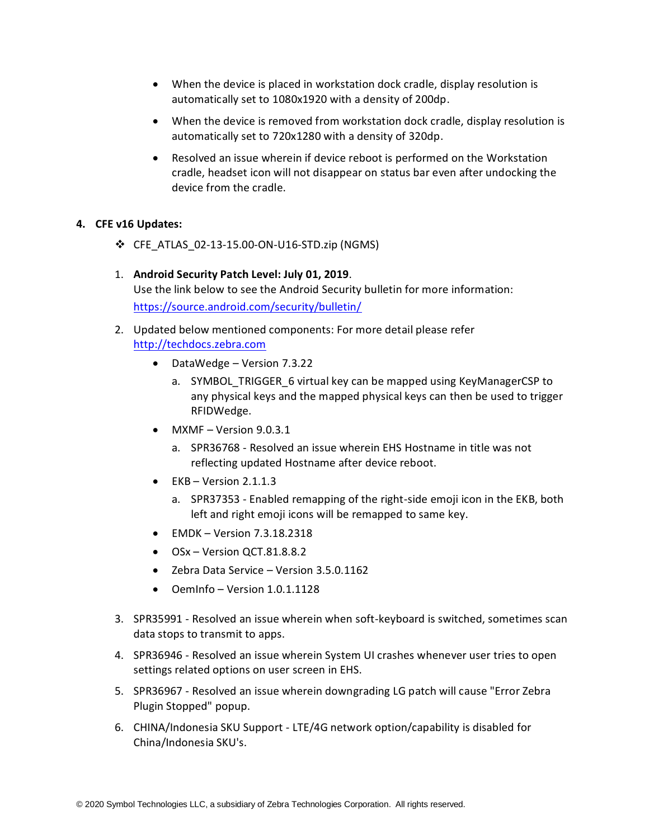- When the device is placed in workstation dock cradle, display resolution is automatically set to 1080x1920 with a density of 200dp.
- When the device is removed from workstation dock cradle, display resolution is automatically set to 720x1280 with a density of 320dp.
- Resolved an issue wherein if device reboot is performed on the Workstation cradle, headset icon will not disappear on status bar even after undocking the device from the cradle.

#### **4. CFE v16 Updates:**

- ❖ CFE\_ATLAS\_02-13-15.00-ON-U16-STD.zip (NGMS)
- 1. **Android Security Patch Level: July 01, 2019**. Use the link below to see the Android Security bulletin for more information: <https://source.android.com/security/bulletin/>
- 2. Updated below mentioned components: For more detail please refer [http://techdocs.zebra.com](http://techdocs.zebra.com/)
	- DataWedge Version 7.3.22
		- a. SYMBOL TRIGGER 6 virtual key can be mapped using KeyManagerCSP to any physical keys and the mapped physical keys can then be used to trigger RFIDWedge.
	- MXMF Version 9.0.3.1
		- a. SPR36768 Resolved an issue wherein EHS Hostname in title was not reflecting updated Hostname after device reboot.
	- $\bullet$  EKB Version 2.1.1.3
		- a. SPR37353 Enabled remapping of the right-side emoji icon in the EKB, both left and right emoji icons will be remapped to same key.
	- EMDK Version 7.3.18.2318
	- OSx Version QCT.81.8.8.2
	- Zebra Data Service Version 3.5.0.1162
	- OemInfo Version 1.0.1.1128
- 3. SPR35991 Resolved an issue wherein when soft-keyboard is switched, sometimes scan data stops to transmit to apps.
- 4. SPR36946 Resolved an issue wherein System UI crashes whenever user tries to open settings related options on user screen in EHS.
- 5. SPR36967 Resolved an issue wherein downgrading LG patch will cause "Error Zebra Plugin Stopped" popup.
- 6. CHINA/Indonesia SKU Support LTE/4G network option/capability is disabled for China/Indonesia SKU's.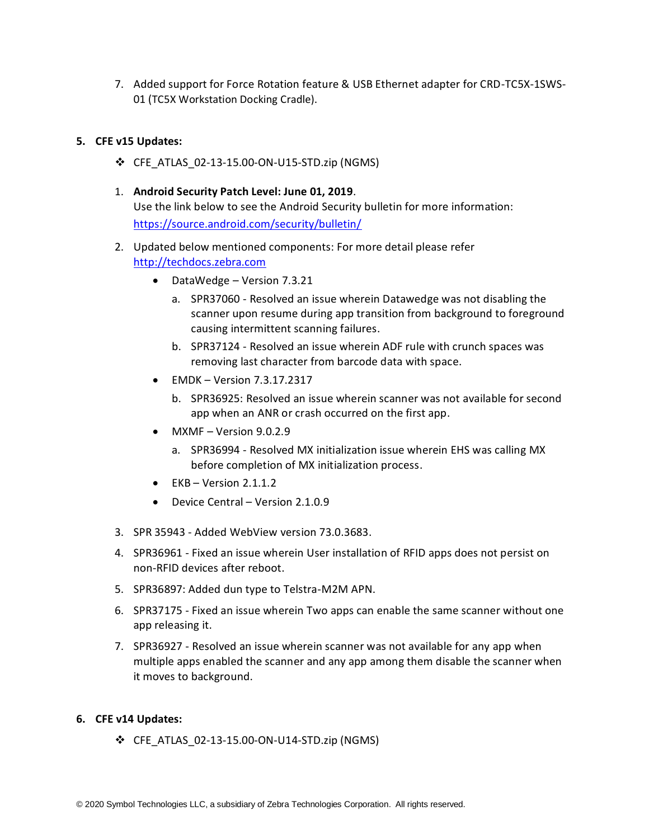7. Added support for Force Rotation feature & USB Ethernet adapter for CRD-TC5X-1SWS-01 (TC5X Workstation Docking Cradle).

#### **5. CFE v15 Updates:**

- ❖ CFE\_ATLAS\_02-13-15.00-ON-U15-STD.zip (NGMS)
- 1. **Android Security Patch Level: June 01, 2019**. Use the link below to see the Android Security bulletin for more information: <https://source.android.com/security/bulletin/>
- 2. Updated below mentioned components: For more detail please refer [http://techdocs.zebra.com](http://techdocs.zebra.com/)
	- DataWedge Version 7.3.21
		- a. SPR37060 Resolved an issue wherein Datawedge was not disabling the scanner upon resume during app transition from background to foreground causing intermittent scanning failures.
		- b. SPR37124 Resolved an issue wherein ADF rule with crunch spaces was removing last character from barcode data with space.
	- EMDK Version 7.3.17.2317
		- b. SPR36925: Resolved an issue wherein scanner was not available for second app when an ANR or crash occurred on the first app.
	- $\bullet$  MXMF Version 9.0.2.9
		- a. SPR36994 Resolved MX initialization issue wherein EHS was calling MX before completion of MX initialization process.
	- $\bullet$  EKB Version 2.1.1.2
	- Device Central Version 2.1.0.9
- 3. SPR 35943 Added WebView version 73.0.3683.
- 4. SPR36961 Fixed an issue wherein User installation of RFID apps does not persist on non-RFID devices after reboot.
- 5. SPR36897: Added dun type to Telstra-M2M APN.
- 6. SPR37175 Fixed an issue wherein Two apps can enable the same scanner without one app releasing it.
- 7. SPR36927 Resolved an issue wherein scanner was not available for any app when multiple apps enabled the scanner and any app among them disable the scanner when it moves to background.

#### **6. CFE v14 Updates:**

❖ CFE\_ATLAS\_02-13-15.00-ON-U14-STD.zip (NGMS)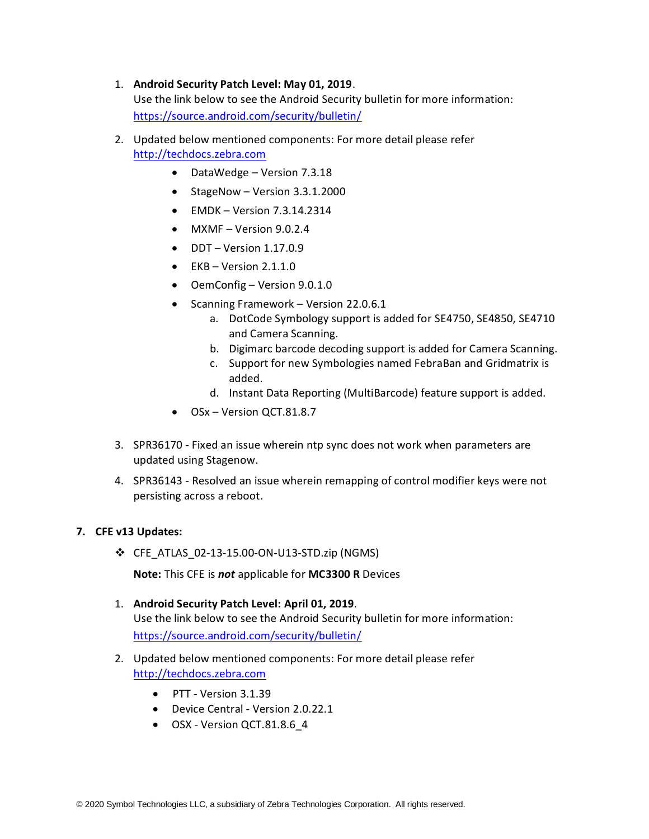#### 1. **Android Security Patch Level: May 01, 2019**.

Use the link below to see the Android Security bulletin for more information: <https://source.android.com/security/bulletin/>

- 2. Updated below mentioned components: For more detail please refer [http://techdocs.zebra.com](http://techdocs.zebra.com/)
	- DataWedge Version 7.3.18
	- StageNow Version 3.3.1.2000
	- $\bullet$  EMDK Version 7.3.14.2314
	- $MXMF Version 9.0.2.4$
	- $\bullet$  DDT Version 1.17.0.9
	- $\bullet$  EKB Version 2.1.1.0
	- OemConfig Version 9.0.1.0
	- Scanning Framework Version 22.0.6.1
		- a. DotCode Symbology support is added for SE4750, SE4850, SE4710 and Camera Scanning.
		- b. Digimarc barcode decoding support is added for Camera Scanning.
		- c. Support for new Symbologies named FebraBan and Gridmatrix is added.
		- d. Instant Data Reporting (MultiBarcode) feature support is added.
	- OSx Version OCT.81.8.7
- 3. SPR36170 Fixed an issue wherein ntp sync does not work when parameters are updated using Stagenow.
- 4. SPR36143 Resolved an issue wherein remapping of control modifier keys were not persisting across a reboot.

#### **7. CFE v13 Updates:**

❖ CFE\_ATLAS\_02-13-15.00-ON-U13-STD.zip (NGMS)

**Note:** This CFE is *not* applicable for **MC3300 R** Devices

- 1. **Android Security Patch Level: April 01, 2019**. Use the link below to see the Android Security bulletin for more information: <https://source.android.com/security/bulletin/>
- 2. Updated below mentioned components: For more detail please refer [http://techdocs.zebra.com](http://techdocs.zebra.com/)
	- PTT Version 3.1.39
	- Device Central Version 2.0.22.1
	- OSX Version QCT.81.8.6\_4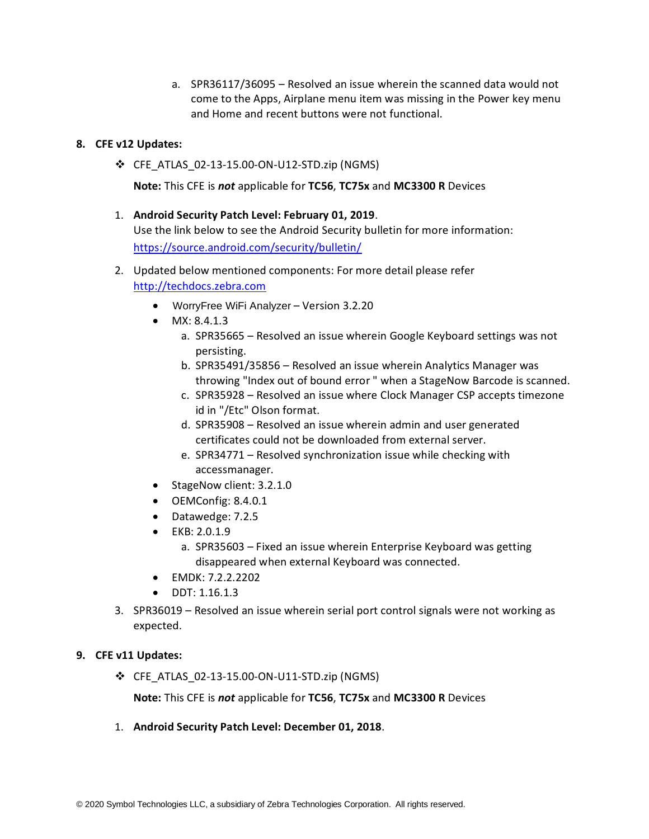a. SPR36117/36095 – Resolved an issue wherein the scanned data would not come to the Apps, Airplane menu item was missing in the Power key menu and Home and recent buttons were not functional.

#### **8. CFE v12 Updates:**

❖ CFE\_ATLAS\_02-13-15.00-ON-U12-STD.zip (NGMS)

**Note:** This CFE is *not* applicable for **TC56**, **TC75x** and **MC3300 R** Devices

#### 1. **Android Security Patch Level: February 01, 2019**.

Use the link below to see the Android Security bulletin for more information: <https://source.android.com/security/bulletin/>

- 2. Updated below mentioned components: For more detail please refer [http://techdocs.zebra.com](http://techdocs.zebra.com/)
	- WorryFree WiFi Analyzer Version 3.2.20
	- MX: 8.4.1.3
		- a. SPR35665 Resolved an issue wherein Google Keyboard settings was not persisting.
		- b. SPR35491/35856 Resolved an issue wherein Analytics Manager was throwing "Index out of bound error " when a StageNow Barcode is scanned.
		- c. SPR35928 Resolved an issue where Clock Manager CSP accepts timezone id in "/Etc" Olson format.
		- d. SPR35908 Resolved an issue wherein admin and user generated certificates could not be downloaded from external server.
		- e. SPR34771 Resolved synchronization issue while checking with accessmanager.
	- StageNow client: 3.2.1.0
	- OEMConfig: 8.4.0.1
	- Datawedge: 7.2.5
	- EKB: 2.0.1.9
		- a. SPR35603 Fixed an issue wherein Enterprise Keyboard was getting disappeared when external Keyboard was connected.
	- EMDK: 7.2.2.2202
	- DDT: 1.16.1.3
- 3. SPR36019 Resolved an issue wherein serial port control signals were not working as expected.

#### **9. CFE v11 Updates:**

❖ CFE\_ATLAS\_02-13-15.00-ON-U11-STD.zip (NGMS)

**Note:** This CFE is *not* applicable for **TC56**, **TC75x** and **MC3300 R** Devices

1. **Android Security Patch Level: December 01, 2018**.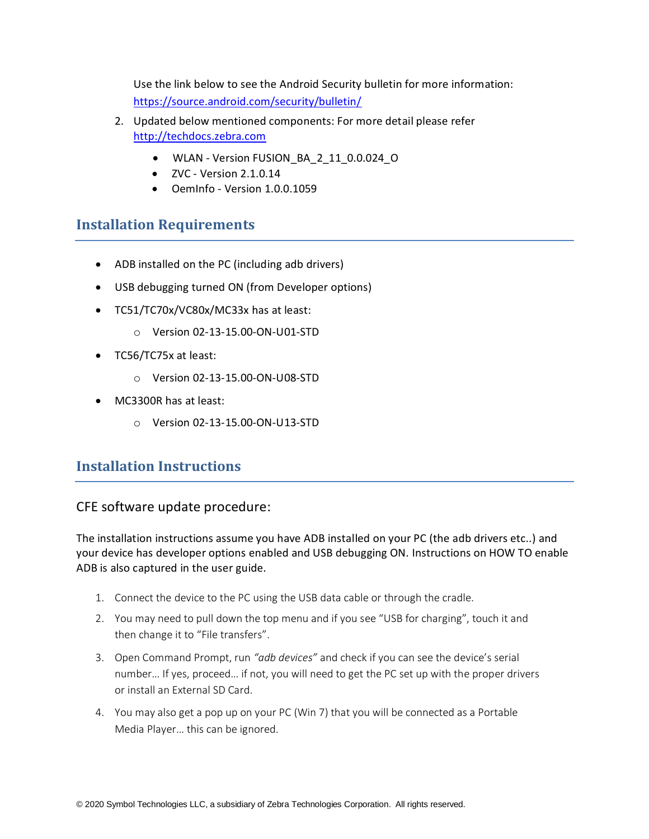Use the link below to see the Android Security bulletin for more information: <https://source.android.com/security/bulletin/>

- 2. Updated below mentioned components: For more detail please refer [http://techdocs.zebra.com](http://techdocs.zebra.com/)
	- WLAN Version FUSION BA 2 11 0.0.024 O
	- $\bullet$  ZVC Version 2.1.0.14
	- OemInfo Version 1.0.0.1059

# <span id="page-9-0"></span>**Installation Requirements**

- ADB installed on the PC (including adb drivers)
- USB debugging turned ON (from Developer options)
- TC51/TC70x/VC80x/MC33x has at least:
	- o Version 02-13-15.00-ON-U01-STD
- TC56/TC75x at least:
	- o Version 02-13-15.00-ON-U08-STD
- MC3300R has at least:
	- o Version 02-13-15.00-ON-U13-STD

# <span id="page-9-1"></span>**Installation Instructions**

### CFE software update procedure:

The installation instructions assume you have ADB installed on your PC (the adb drivers etc..) and your device has developer options enabled and USB debugging ON. Instructions on HOW TO enable ADB is also captured in the user guide.

- 1. Connect the device to the PC using the USB data cable or through the cradle.
- 2. You may need to pull down the top menu and if you see "USB for charging", touch it and then change it to "File transfers".
- 3. Open Command Prompt, run *"adb devices"* and check if you can see the device's serial number… If yes, proceed… if not, you will need to get the PC set up with the proper drivers or install an External SD Card.
- 4. You may also get a pop up on your PC (Win 7) that you will be connected as a Portable Media Player… this can be ignored.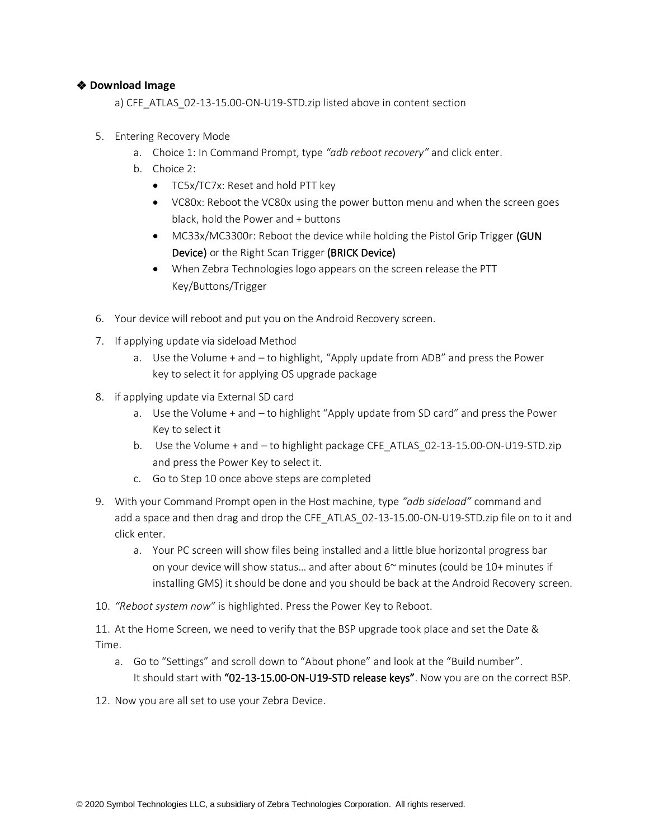#### ❖ **Download Image**

a) CFE\_ATLAS\_02-13-15.00-ON-U19-STD.zip listed above in content section

- 5. Entering Recovery Mode
	- a. Choice 1: In Command Prompt, type *"adb reboot recovery"* and click enter.
	- b. Choice 2:
		- TC5x/TC7x: Reset and hold PTT key
		- VC80x: Reboot the VC80x using the power button menu and when the screen goes black, hold the Power and + buttons
		- MC33x/MC3300r: Reboot the device while holding the Pistol Grip Trigger (GUN Device) or the Right Scan Trigger (BRICK Device)
		- When Zebra Technologies logo appears on the screen release the PTT Key/Buttons/Trigger
- 6. Your device will reboot and put you on the Android Recovery screen.
- 7. If applying update via sideload Method
	- a. Use the Volume + and to highlight, "Apply update from ADB" and press the Power key to select it for applying OS upgrade package
- 8. if applying update via External SD card
	- a. Use the Volume + and to highlight "Apply update from SD card" and press the Power Key to select it
	- b. Use the Volume + and to highlight package CFE\_ATLAS\_02-13-15.00-ON-U19-STD.zip and press the Power Key to select it.
	- c. Go to Step 10 once above steps are completed
- 9. With your Command Prompt open in the Host machine, type *"adb sideload"* command and add a space and then drag and drop the CFE\_ATLAS\_02-13-15.00-ON-U19-STD.zip file on to it and click enter.
	- a. Your PC screen will show files being installed and a little blue horizontal progress bar on your device will show status... and after about  $6<sup>th</sup>$  minutes (could be 10+ minutes if installing GMS) it should be done and you should be back at the Android Recovery screen.
- 10. *"Reboot system now"* is highlighted. Press the Power Key to Reboot.

11. At the Home Screen, we need to verify that the BSP upgrade took place and set the Date & Time.

- a. Go to "Settings" and scroll down to "About phone" and look at the "Build number". It should start with "02-13-15.00-ON-U19-STD release keys". Now you are on the correct BSP.
- 12. Now you are all set to use your Zebra Device.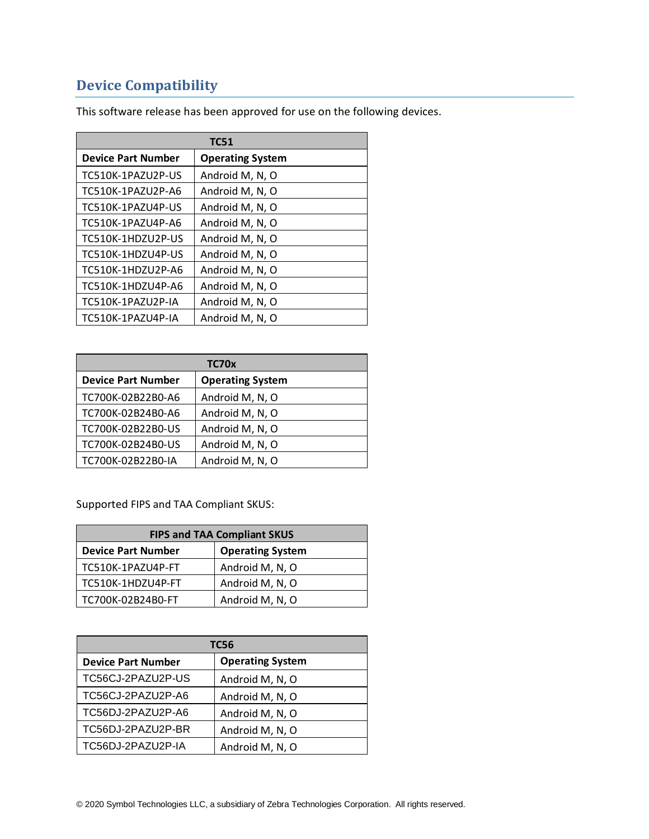# <span id="page-11-1"></span><span id="page-11-0"></span>**Device Compatibility**

| <b>TC51</b>               |                         |  |
|---------------------------|-------------------------|--|
| <b>Device Part Number</b> | <b>Operating System</b> |  |
| TC510K-1PAZU2P-US         | Android M, N, O         |  |
| TC510K-1PAZU2P-A6         | Android M, N, O         |  |
| TC510K-1PAZU4P-US         | Android M, N, O         |  |
| TC510K-1PAZU4P-A6         | Android M, N, O         |  |
| TC510K-1HDZU2P-US         | Android M, N, O         |  |
| TC510K-1HDZU4P-US         | Android M, N, O         |  |
| TC510K-1HDZU2P-A6         | Android M, N, O         |  |
| TC510K-1HDZU4P-A6         | Android M, N, O         |  |
| TC510K-1PAZU2P-IA         | Android M, N, O         |  |
| TC510K-1PAZU4P-IA         | Android M, N, O         |  |

This software release has been approved for use on the following devices.

| TC70x                     |                         |  |
|---------------------------|-------------------------|--|
| <b>Device Part Number</b> | <b>Operating System</b> |  |
| TC700K-02B22B0-A6         | Android M, N, O         |  |
| TC700K-02B24B0-A6         | Android M, N, O         |  |
| TC700K-02B22B0-US         | Android M, N, O         |  |
| TC700K-02B24B0-US         | Android M, N, O         |  |
| TC700K-02B22B0-IA         | Android M, N, O         |  |

Supported FIPS and TAA Compliant SKUS:

| <b>FIPS and TAA Compliant SKUS</b> |                         |  |
|------------------------------------|-------------------------|--|
| <b>Device Part Number</b>          | <b>Operating System</b> |  |
| TC510K-1PAZU4P-FT                  | Android M, N, O         |  |
| TC510K-1HDZU4P-FT                  | Android M, N, O         |  |
| TC700K-02B24B0-FT                  | Android M, N, O         |  |

| TC56                      |                         |  |
|---------------------------|-------------------------|--|
| <b>Device Part Number</b> | <b>Operating System</b> |  |
| TC56CJ-2PAZU2P-US         | Android M, N, O         |  |
| TC56CJ-2PAZU2P-A6         | Android M, N, O         |  |
| TC56DJ-2PAZU2P-A6         | Android M, N, O         |  |
| TC56DJ-2PAZU2P-BR         | Android M, N, O         |  |
| TC56DJ-2PAZU2P-IA         | Android M, N, O         |  |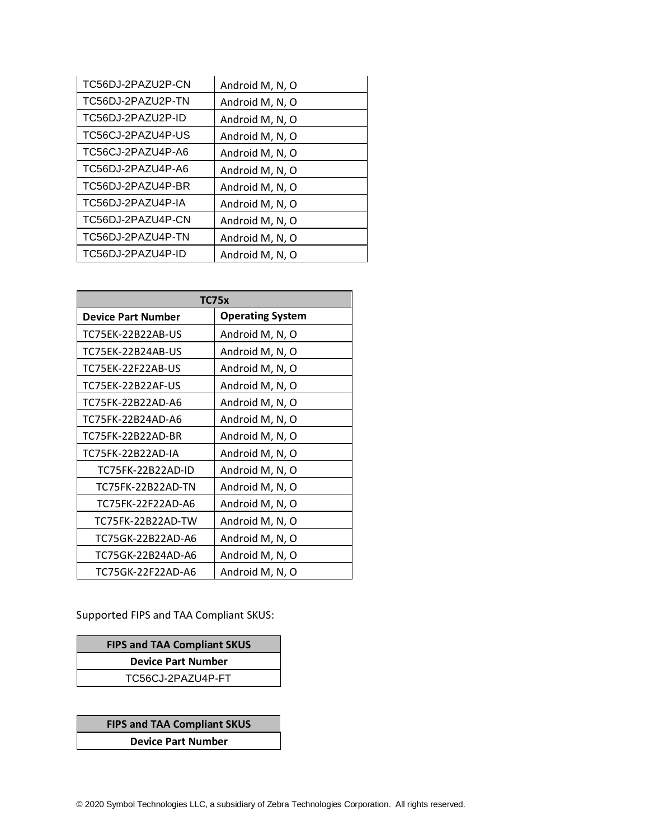| TC56DJ-2PAZU2P-CN | Android M, N, O |
|-------------------|-----------------|
| TC56DJ-2PAZU2P-TN | Android M, N, O |
| TC56DJ-2PAZU2P-ID | Android M, N, O |
| TC56CJ-2PAZU4P-US | Android M, N, O |
| TC56CJ-2PAZU4P-A6 | Android M, N, O |
| TC56DJ-2PAZU4P-A6 | Android M, N, O |
| TC56DJ-2PAZU4P-BR | Android M, N, O |
| TC56DJ-2PAZU4P-IA | Android M, N, O |
| TC56DJ-2PAZU4P-CN | Android M, N, O |
| TC56DJ-2PAZU4P-TN | Android M, N, O |
| TC56DJ-2PAZU4P-ID | Android M, N, O |

| TC75x                     |                         |  |
|---------------------------|-------------------------|--|
| <b>Device Part Number</b> | <b>Operating System</b> |  |
| TC75EK-22B22AB-US         | Android M, N, O         |  |
| TC75EK-22B24AB-US         | Android M, N, O         |  |
| TC75EK-22F22AB-US         | Android M, N, O         |  |
| TC75EK-22B22AF-US         | Android M, N, O         |  |
| TC75FK-22B22AD-A6         | Android M, N, O         |  |
| TC75FK-22B24AD-A6         | Android M, N, O         |  |
| TC75FK-22B22AD-BR         | Android M, N, O         |  |
| TC75FK-22B22AD-IA         | Android M, N, O         |  |
| TC75FK-22B22AD-ID         | Android M, N, O         |  |
| TC75FK-22B22AD-TN         | Android M, N, O         |  |
| TC75FK-22F22AD-A6         | Android M, N, O         |  |
| TC75FK-22B22AD-TW         | Android M, N, O         |  |
| TC75GK-22B22AD-A6         | Android M, N, O         |  |
| TC75GK-22B24AD-A6         | Android M, N, O         |  |
| TC75GK-22F22AD-A6         | Android M, N, O         |  |

Supported FIPS and TAA Compliant SKUS:

| <b>FIPS and TAA Compliant SKUS</b> |  |  |
|------------------------------------|--|--|
| <b>Device Part Number</b>          |  |  |
| TC56CJ-2PAZU4P-FT                  |  |  |

**FIPS and TAA Compliant SKUS**

**Device Part Number**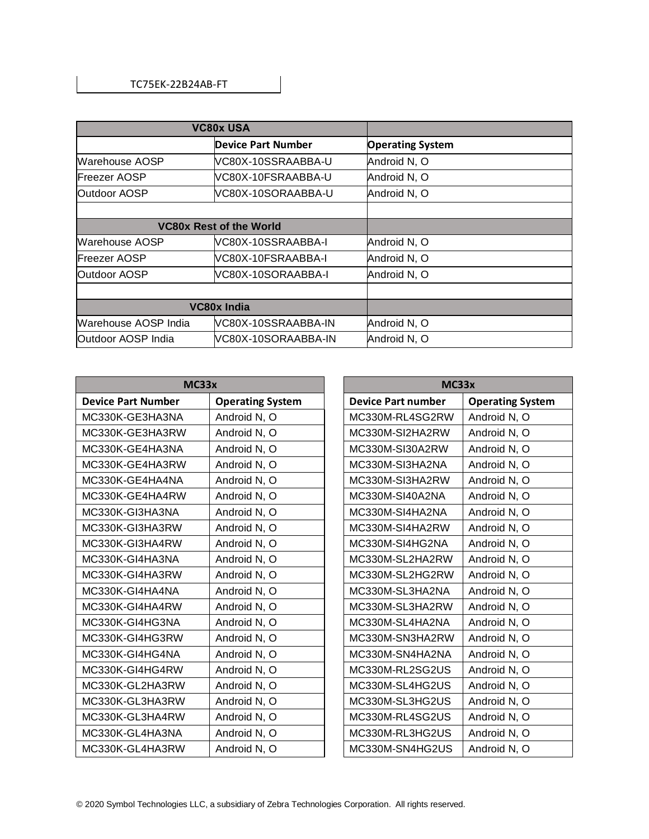| <b>VC80x USA</b>               |                           |                         |
|--------------------------------|---------------------------|-------------------------|
|                                | <b>Device Part Number</b> | <b>Operating System</b> |
| Warehouse AOSP                 | VC80X-10SSRAABBA-U        | Android N, O            |
| <b>IFreezer AOSP</b>           | VC80X-10FSRAABBA-U        | Android N, O            |
| <b>Outdoor AOSP</b>            | VC80X-10SORAABBA-U        | Android N, O            |
|                                |                           |                         |
| <b>VC80x Rest of the World</b> |                           |                         |
| Warehouse AOSP                 | VC80X-10SSRAABBA-I        | Android N, O            |
| <b>Freezer AOSP</b>            | VC80X-10FSRAABBA-I        | Android N, O            |
| <b>Outdoor AOSP</b>            | VC80X-10SORAABBA-I        | Android N, O            |
|                                |                           |                         |
| VC80x India                    |                           |                         |
| Warehouse AOSP India           | VC80X-10SSRAABBA-IN       | Android N, O            |
| Outdoor AOSP India             | VC80X-10SORAABBA-IN       | Android N, O            |

| <b>MC33x</b> |                           | <b>MC33x</b>            |                           |                         |
|--------------|---------------------------|-------------------------|---------------------------|-------------------------|
|              | <b>Device Part Number</b> | <b>Operating System</b> | <b>Device Part number</b> | <b>Operating System</b> |
|              | MC330K-GE3HA3NA           | Android N, O            | MC330M-RL4SG2RW           | Android N, O            |
|              | MC330K-GE3HA3RW           | Android N, O            | MC330M-SI2HA2RW           | Android N, O            |
|              | MC330K-GE4HA3NA           | Android N, O            | MC330M-SI30A2RW           | Android N, O            |
|              | MC330K-GE4HA3RW           | Android N, O            | MC330M-SI3HA2NA           | Android N, O            |
|              | MC330K-GE4HA4NA           | Android N, O            | MC330M-SI3HA2RW           | Android N, O            |
|              | MC330K-GE4HA4RW           | Android N, O            | MC330M-SI40A2NA           | Android N, O            |
|              | MC330K-GI3HA3NA           | Android N, O            | MC330M-SI4HA2NA           | Android N, O            |
|              | MC330K-GI3HA3RW           | Android N, O            | MC330M-SI4HA2RW           | Android N, O            |
|              | MC330K-GI3HA4RW           | Android N, O            | MC330M-SI4HG2NA           | Android N, O            |
|              | MC330K-GI4HA3NA           | Android N, O            | MC330M-SL2HA2RW           | Android N, O            |
|              | MC330K-GI4HA3RW           | Android N, O            | MC330M-SL2HG2RW           | Android N, O            |
|              | MC330K-GI4HA4NA           | Android N, O            | MC330M-SL3HA2NA           | Android N, O            |
|              | MC330K-GI4HA4RW           | Android N, O            | MC330M-SL3HA2RW           | Android N, O            |
|              | MC330K-GI4HG3NA           | Android N, O            | MC330M-SL4HA2NA           | Android N, O            |
|              | MC330K-GI4HG3RW           | Android N, O            | MC330M-SN3HA2RW           | Android N, O            |
|              | MC330K-GI4HG4NA           | Android N, O            | MC330M-SN4HA2NA           | Android N, O            |
|              | MC330K-GI4HG4RW           | Android N, O            | MC330M-RL2SG2US           | Android N, O            |
|              | MC330K-GL2HA3RW           | Android N, O            | MC330M-SL4HG2US           | Android N, O            |
|              | MC330K-GL3HA3RW           | Android N, O            | MC330M-SL3HG2US           | Android N, O            |
|              | MC330K-GL3HA4RW           | Android N, O            | MC330M-RL4SG2US           | Android N, O            |
|              | MC330K-GL4HA3NA           | Android N, O            | MC330M-RL3HG2US           | Android N, O            |
|              | MC330K-GL4HA3RW           | Android N, O            | MC330M-SN4HG2US           | Android N, O            |
|              |                           |                         |                           |                         |

| MC33x                     |                         |  |  |
|---------------------------|-------------------------|--|--|
| <b>Device Part number</b> | <b>Operating System</b> |  |  |
| MC330M-RL4SG2RW           | Android N, O            |  |  |
| MC330M-SI2HA2RW           | Android N, O            |  |  |
| MC330M-SI30A2RW           | Android N, O            |  |  |
| MC330M-SI3HA2NA           | Android N, O            |  |  |
| MC330M-SI3HA2RW           | Android N, O            |  |  |
| MC330M-SI40A2NA           | Android N, O            |  |  |
| MC330M-SI4HA2NA           | Android N, O            |  |  |
| MC330M-SI4HA2RW           | Android N, O            |  |  |
| MC330M-SI4HG2NA           | Android N, O            |  |  |
| MC330M-SL2HA2RW           | Android N, O            |  |  |
| MC330M-SL2HG2RW           | Android N, O            |  |  |
| MC330M-SL3HA2NA           | Android N, O            |  |  |
| MC330M-SL3HA2RW           | Android N, O            |  |  |
| MC330M-SL4HA2NA           | Android N, O            |  |  |
| MC330M-SN3HA2RW           | Android N, O            |  |  |
| MC330M-SN4HA2NA           | Android N, O            |  |  |
| MC330M-RL2SG2US           | Android N, O            |  |  |
| MC330M-SL4HG2US           | Android N, O            |  |  |
| MC330M-SL3HG2US           | Android N, O            |  |  |
| MC330M-RL4SG2US           | Android N, O            |  |  |
| MC330M-RL3HG2US           | Android N, O            |  |  |
| MC330M-SN4HG2US           | Android N, O            |  |  |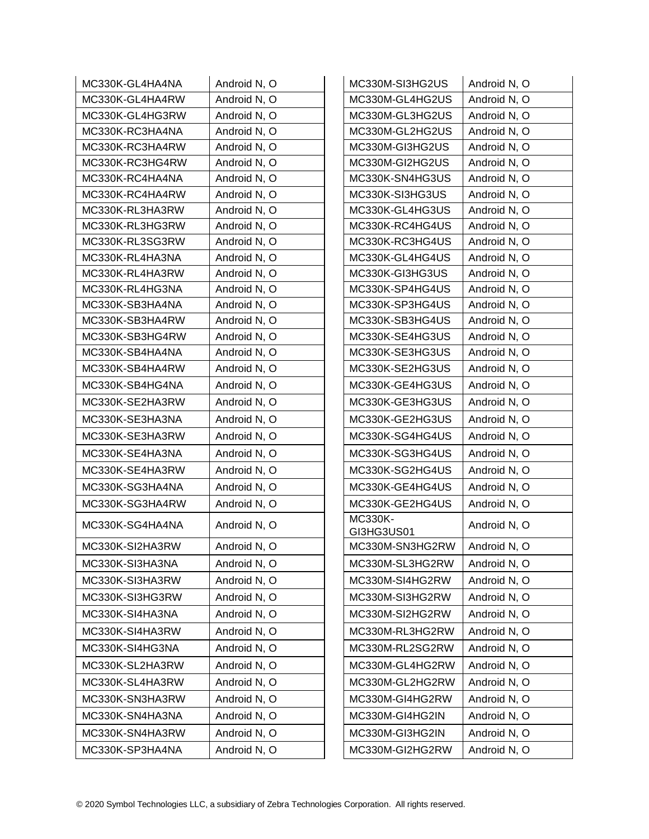| MC330K-GL4HA4NA | Android N, O | MC330M-SI3HG2US              | Android N, O |
|-----------------|--------------|------------------------------|--------------|
| MC330K-GL4HA4RW | Android N, O | MC330M-GL4HG2US              | Android N, O |
| MC330K-GL4HG3RW | Android N, O | MC330M-GL3HG2US              | Android N, O |
| MC330K-RC3HA4NA | Android N, O | MC330M-GL2HG2US              | Android N, O |
| MC330K-RC3HA4RW | Android N, O | MC330M-GI3HG2US              | Android N, O |
| MC330K-RC3HG4RW | Android N, O | MC330M-GI2HG2US              | Android N, O |
| MC330K-RC4HA4NA | Android N, O | MC330K-SN4HG3US              | Android N, O |
| MC330K-RC4HA4RW | Android N, O | MC330K-SI3HG3US              | Android N, O |
| MC330K-RL3HA3RW | Android N, O | MC330K-GL4HG3US              | Android N, O |
| MC330K-RL3HG3RW | Android N, O | MC330K-RC4HG4US              | Android N, O |
| MC330K-RL3SG3RW | Android N, O | MC330K-RC3HG4US              | Android N, O |
| MC330K-RL4HA3NA | Android N, O | MC330K-GL4HG4US              | Android N, O |
| MC330K-RL4HA3RW | Android N, O | MC330K-GI3HG3US              | Android N, O |
| MC330K-RL4HG3NA | Android N, O | MC330K-SP4HG4US              | Android N, O |
| MC330K-SB3HA4NA | Android N, O | MC330K-SP3HG4US              | Android N, O |
| MC330K-SB3HA4RW | Android N, O | MC330K-SB3HG4US              | Android N, O |
| MC330K-SB3HG4RW | Android N, O | MC330K-SE4HG3US              | Android N, O |
| MC330K-SB4HA4NA | Android N, O | MC330K-SE3HG3US              | Android N, O |
| MC330K-SB4HA4RW | Android N, O | MC330K-SE2HG3US              | Android N, O |
| MC330K-SB4HG4NA | Android N, O | MC330K-GE4HG3US              | Android N, O |
| MC330K-SE2HA3RW | Android N, O | MC330K-GE3HG3US              | Android N, O |
| MC330K-SE3HA3NA | Android N, O | MC330K-GE2HG3US              | Android N, O |
| MC330K-SE3HA3RW | Android N, O | MC330K-SG4HG4US              | Android N, O |
| MC330K-SE4HA3NA | Android N, O | MC330K-SG3HG4US              | Android N, O |
| MC330K-SE4HA3RW | Android N, O | MC330K-SG2HG4US              | Android N, O |
| MC330K-SG3HA4NA | Android N, O | MC330K-GE4HG4US              | Android N, O |
| MC330K-SG3HA4RW | Android N, O | MC330K-GE2HG4US              | Android N, O |
| MC330K-SG4HA4NA | Android N, O | <b>MC330K-</b><br>GI3HG3US01 | Android N, O |
| MC330K-SI2HA3RW | Android N, O | MC330M-SN3HG2RW              | Android N, O |
| MC330K-SI3HA3NA | Android N, O | MC330M-SL3HG2RW              | Android N, O |
| MC330K-SI3HA3RW | Android N, O | MC330M-SI4HG2RW              | Android N, O |
| MC330K-SI3HG3RW | Android N, O | MC330M-SI3HG2RW              | Android N, O |
| MC330K-SI4HA3NA | Android N, O | MC330M-SI2HG2RW              | Android N, O |
| MC330K-SI4HA3RW | Android N, O | MC330M-RL3HG2RW              | Android N, O |
| MC330K-SI4HG3NA | Android N, O | MC330M-RL2SG2RW              | Android N, O |
| MC330K-SL2HA3RW | Android N, O | MC330M-GL4HG2RW              | Android N, O |
| MC330K-SL4HA3RW | Android N, O | MC330M-GL2HG2RW              | Android N, O |
| MC330K-SN3HA3RW | Android N, O | MC330M-GI4HG2RW              | Android N, O |
| MC330K-SN4HA3NA | Android N, O | MC330M-GI4HG2IN              | Android N, O |
| MC330K-SN4HA3RW | Android N, O | MC330M-GI3HG2IN              | Android N, O |
| MC330K-SP3HA4NA | Android N, O | MC330M-GI2HG2RW              | Android N, O |
|                 |              |                              |              |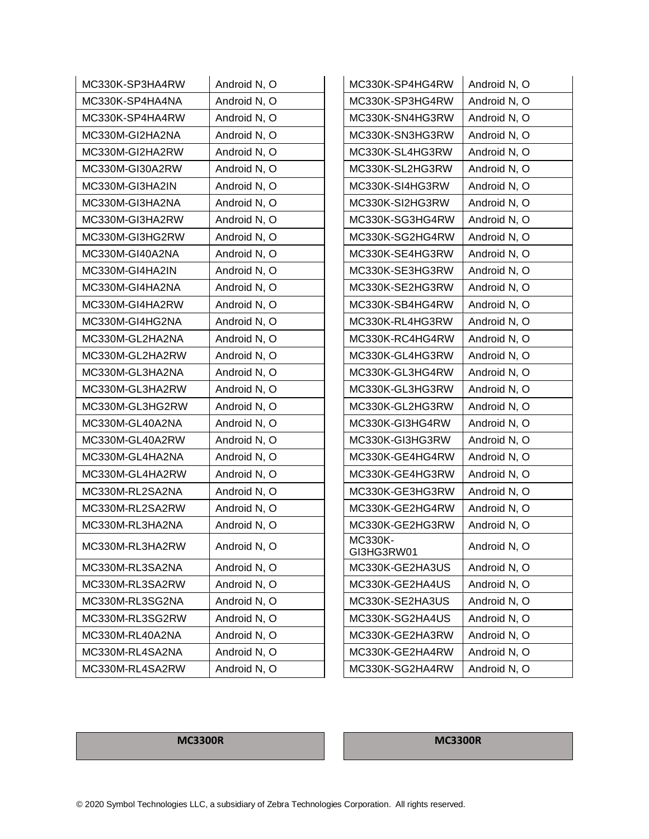| MC330K-SP3HA4RW | Android N, O | MC330K-SP4HG4RW       | Android N, O |
|-----------------|--------------|-----------------------|--------------|
| MC330K-SP4HA4NA | Android N, O | MC330K-SP3HG4RW       | Android N, O |
| MC330K-SP4HA4RW | Android N, O | MC330K-SN4HG3RW       | Android N, O |
| MC330M-GI2HA2NA | Android N, O | MC330K-SN3HG3RW       | Android N, O |
| MC330M-GI2HA2RW | Android N, O | MC330K-SL4HG3RW       | Android N, O |
| MC330M-GI30A2RW | Android N, O | MC330K-SL2HG3RW       | Android N, O |
| MC330M-GI3HA2IN | Android N, O | MC330K-SI4HG3RW       | Android N, O |
| MC330M-GI3HA2NA | Android N, O | MC330K-SI2HG3RW       | Android N, O |
| MC330M-GI3HA2RW | Android N, O | MC330K-SG3HG4RW       | Android N, O |
| MC330M-GI3HG2RW | Android N, O | MC330K-SG2HG4RW       | Android N, O |
| MC330M-GI40A2NA | Android N, O | MC330K-SE4HG3RW       | Android N, O |
| MC330M-GI4HA2IN | Android N, O | MC330K-SE3HG3RW       | Android N, O |
| MC330M-GI4HA2NA | Android N, O | MC330K-SE2HG3RW       | Android N, O |
| MC330M-GI4HA2RW | Android N, O | MC330K-SB4HG4RW       | Android N, O |
| MC330M-GI4HG2NA | Android N, O | MC330K-RL4HG3RW       | Android N, O |
| MC330M-GL2HA2NA | Android N, O | MC330K-RC4HG4RW       | Android N, O |
| MC330M-GL2HA2RW | Android N, O | MC330K-GL4HG3RW       | Android N, O |
| MC330M-GL3HA2NA | Android N, O | MC330K-GL3HG4RW       | Android N, O |
| MC330M-GL3HA2RW | Android N, O | MC330K-GL3HG3RW       | Android N, O |
| MC330M-GL3HG2RW | Android N, O | MC330K-GL2HG3RW       | Android N, O |
| MC330M-GL40A2NA | Android N, O | MC330K-GI3HG4RW       | Android N, O |
| MC330M-GL40A2RW | Android N, O | MC330K-GI3HG3RW       | Android N, O |
| MC330M-GL4HA2NA | Android N, O | MC330K-GE4HG4RW       | Android N, O |
| MC330M-GL4HA2RW | Android N, O | MC330K-GE4HG3RW       | Android N, O |
| MC330M-RL2SA2NA | Android N, O | MC330K-GE3HG3RW       | Android N, O |
| MC330M-RL2SA2RW | Android N, O | MC330K-GE2HG4RW       | Android N, O |
| MC330M-RL3HA2NA | Android N, O | MC330K-GE2HG3RW       | Android N, O |
| MC330M-RL3HA2RW | Android N, O | MC330K-<br>GI3HG3RW01 | Android N, O |
| MC330M-RL3SA2NA | Android N, O | MC330K-GE2HA3US       | Android N, O |
| MC330M-RL3SA2RW | Android N, O | MC330K-GE2HA4US       | Android N, O |
| MC330M-RL3SG2NA | Android N, O | MC330K-SE2HA3US       | Android N, O |
| MC330M-RL3SG2RW | Android N, O | MC330K-SG2HA4US       | Android N, O |
| MC330M-RL40A2NA | Android N, O | MC330K-GE2HA3RW       | Android N, O |
| MC330M-RL4SA2NA | Android N, O | MC330K-GE2HA4RW       | Android N, O |
| MC330M-RL4SA2RW | Android N, O | MC330K-SG2HA4RW       | Android N, O |

#### **MC3300R MC3300R**